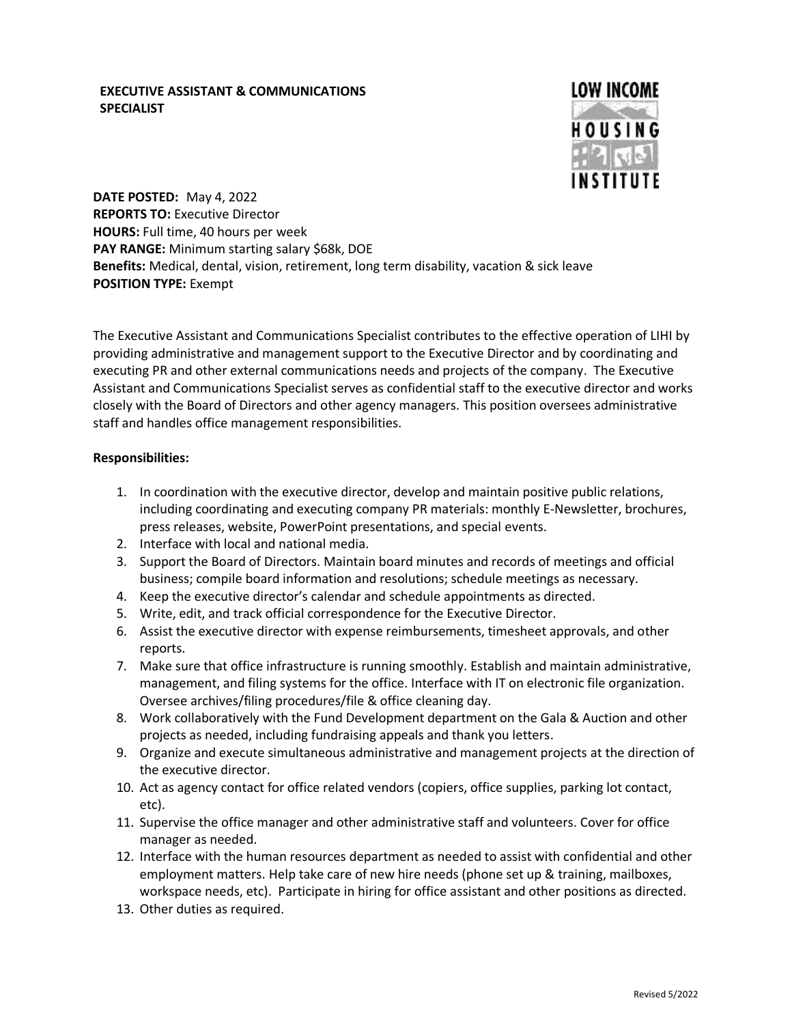## **EXECUTIVE ASSISTANT & COMMUNICATIONS SPECIALIST**



**DATE POSTED:** May 4, 2022 **REPORTS TO:** Executive Director **HOURS:** Full time, 40 hours per week **PAY RANGE:** Minimum starting salary \$68k, DOE **Benefits:** Medical, dental, vision, retirement, long term disability, vacation & sick leave **POSITION TYPE:** Exempt

The Executive Assistant and Communications Specialist contributes to the effective operation of LIHI by providing administrative and management support to the Executive Director and by coordinating and executing PR and other external communications needs and projects of the company. The Executive Assistant and Communications Specialist serves as confidential staff to the executive director and works closely with the Board of Directors and other agency managers. This position oversees administrative staff and handles office management responsibilities.

### **Responsibilities:**

- 1. In coordination with the executive director, develop and maintain positive public relations, including coordinating and executing company PR materials: monthly E-Newsletter, brochures, press releases, website, PowerPoint presentations, and special events.
- 2. Interface with local and national media.
- 3. Support the Board of Directors. Maintain board minutes and records of meetings and official business; compile board information and resolutions; schedule meetings as necessary.
- 4. Keep the executive director's calendar and schedule appointments as directed.
- 5. Write, edit, and track official correspondence for the Executive Director.
- 6. Assist the executive director with expense reimbursements, timesheet approvals, and other reports.
- 7. Make sure that office infrastructure is running smoothly. Establish and maintain administrative, management, and filing systems for the office. Interface with IT on electronic file organization. Oversee archives/filing procedures/file & office cleaning day.
- 8. Work collaboratively with the Fund Development department on the Gala & Auction and other projects as needed, including fundraising appeals and thank you letters.
- 9. Organize and execute simultaneous administrative and management projects at the direction of the executive director.
- 10. Act as agency contact for office related vendors (copiers, office supplies, parking lot contact, etc).
- 11. Supervise the office manager and other administrative staff and volunteers. Cover for office manager as needed.
- 12. Interface with the human resources department as needed to assist with confidential and other employment matters. Help take care of new hire needs (phone set up & training, mailboxes, workspace needs, etc). Participate in hiring for office assistant and other positions as directed.
- 13. Other duties as required.